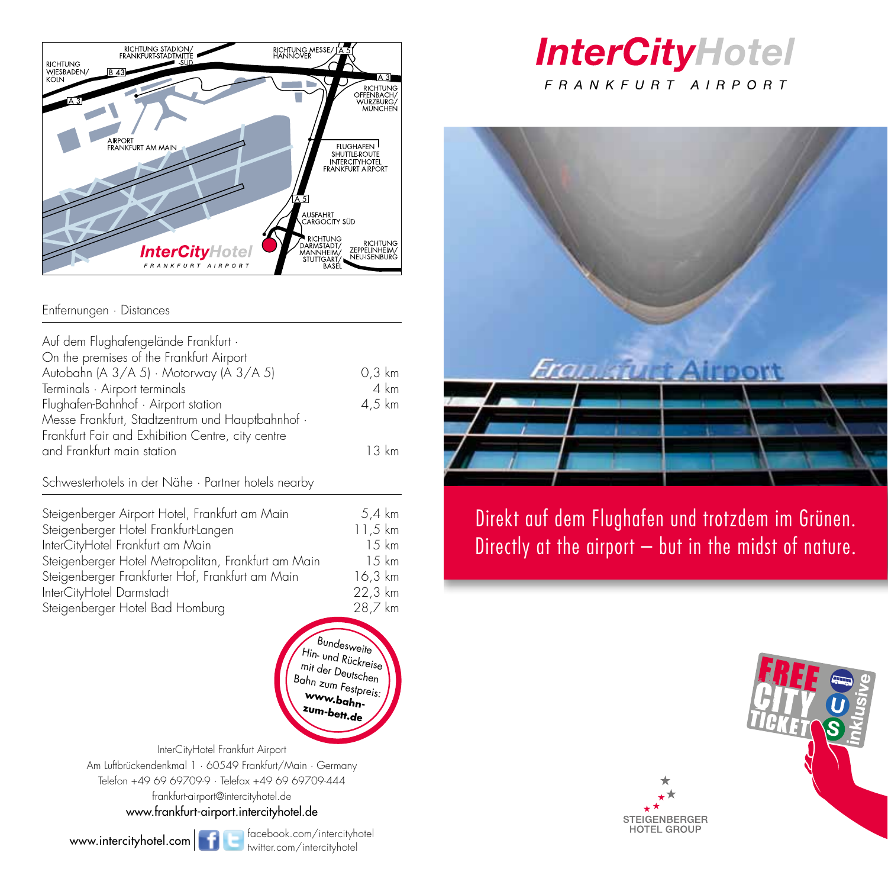

### Entfernungen · Distances

| Auf dem Flughafengelände Frankfurt ·<br>On the premises of the Frankfurt Airport |                  |
|----------------------------------------------------------------------------------|------------------|
| Autobahn (A 3/A 5) · Motorway (A 3/A 5)                                          | $0.3 \text{ km}$ |
| Terminals · Airport terminals                                                    | $4 \text{ km}$   |
| Flughafen-Bahnhof · Airport station                                              | $4.5 \text{ km}$ |
| Messe Frankfurt, Stadtzentrum und Hauptbahnhof ·                                 |                  |
| Frankfurt Fair and Exhibition Centre, city centre                                |                  |
| and Frankfurt main station                                                       | 13 km            |
|                                                                                  |                  |

Schwesterhotels in der Nähe · Partner hotels nearby

| Steigenberger Airport Hotel, Frankfurt am Main      | 5,4 km  |
|-----------------------------------------------------|---------|
| Steigenberger Hotel Frankfurt-Langen                | 11,5 km |
| InterCityHotel Frankfurt am Main                    | 15 km   |
| Steigenberger Hotel Metropolitan, Frankfurt am Main | 1.5 km  |
| Steigenberger Frankfurter Hof, Frankfurt am Main    | 16,3 km |
| InterCityHotel Darmstadt                            | 22,3 km |
| Steigenberger Hotel Bad Homburg                     | 28,7 km |

Bundesweite Hin- und Rückreise mit der Deutschen Bahn zum Festpreis: **www.bahnzum-bett.de**

InterCityHotel Frankfurt Airport Am Luftbrückendenkmal 1 · 60549 Frankfurt/Main · Germany Telefon +49 69 69709-9 · Telefax +49 69 69709-444 frankfurt-airport@intercityhotel.de www.frankfurt-airport.intercityhotel.de

www.intercityhotel.com **facebook.com/intercityhotel** 

# **InterCityHotel** FRANKFURT AIRPORT



Direkt auf dem Flughafen und trotzdem im Grünen. Directly at the airport – but in the midst of nature.



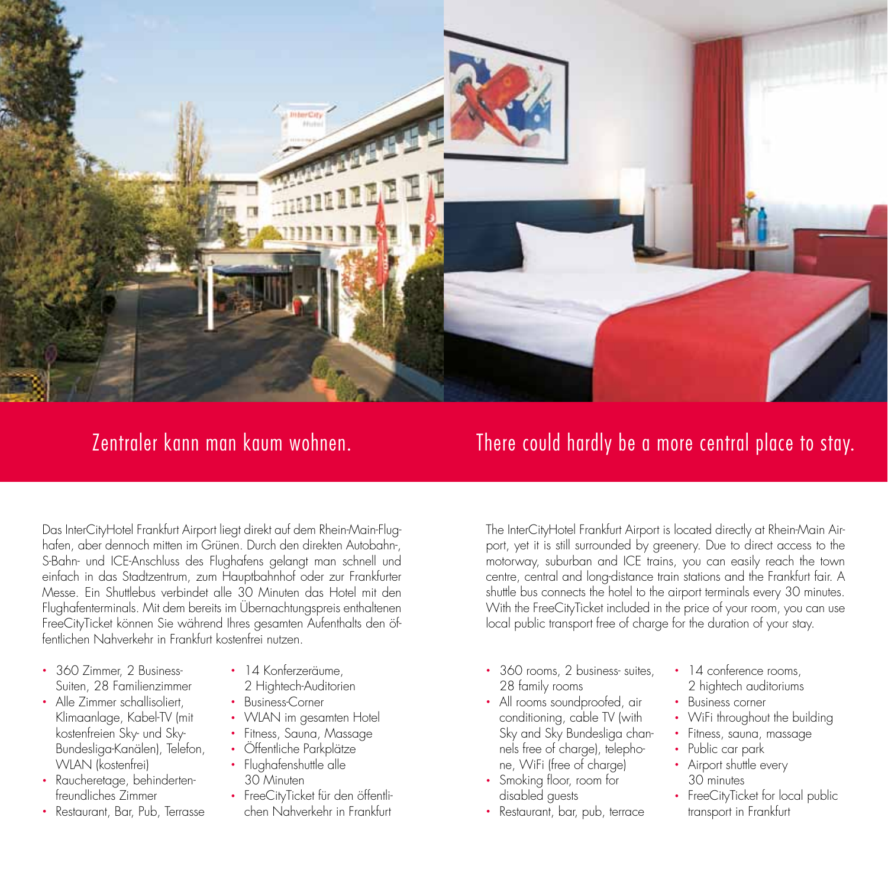

## Zentraler kann man kaum wohnen. There could hardly be a more central place to stay.

Das InterCityHotel Frankfurt Airport liegt direkt auf dem Rhein-Main-Flughafen, aber dennoch mitten im Grünen. Durch den direkten Autobahn-, S-Bahn- und ICE-Anschluss des Flughafens gelangt man schnell und einfach in das Stadtzentrum, zum Hauptbahnhof oder zur Frankfurter Messe. Ein Shuttlebus verbindet alle 30 Minuten das Hotel mit den Flughafenterminals. Mit dem bereits im Übernachtungspreis enthaltenen FreeCityTicket können Sie während Ihres gesamten Aufenthalts den öffentlichen Nahverkehr in Frankfurt kostenfrei nutzen.

- 360 Zimmer, 2 Business-Suiten, 28 Familienzimmer
- Alle Zimmer schallisoliert, Klimaanlage, Kabel-TV (mit kostenfreien Sky- und Sky-Bundesliga-Kanälen), Telefon, WLAN (kostenfrei)
- Raucheretage, behindertenfreundliches Zimmer
- Restaurant, Bar, Pub, Terrasse
- 14 Konferzeräume.
- 2 Hightech-Auditorien
- Business-Corner
- WLAN im gesamten Hotel
- Fitness, Sauna, Massage
- Öffentliche Parkplätze
- Flughafenshuttle alle 30 Minuten
- FreeCityTicket für den öffentlichen Nahverkehr in Frankfurt

The InterCityHotel Frankfurt Airport is located directly at Rhein-Main Airport, yet it is still surrounded by greenery. Due to direct access to the motorway, suburban and ICE trains, you can easily reach the town centre, central and long-distance train stations and the Frankfurt fair. A shuttle bus connects the hotel to the airport terminals every 30 minutes. With the FreeCityTicket included in the price of your room, you can use local public transport free of charge for the duration of your stay.

- 360 rooms, 2 business- suites, 28 family rooms
- All rooms soundproofed, air conditioning, cable TV (with Sky and Sky Bundesliga channels free of charge), telephone, WiFi (free of charge)
- Smoking floor, room for disabled guests
- Restaurant, bar, pub, terrace
- 14 conference rooms, 2 hightech auditoriums
- Business corner
- WiFi throughout the building
- Fitness, sauna, massage
- Public car park
- Airport shuttle every 30 minutes
- FreeCityTicket for local public transport in Frankfurt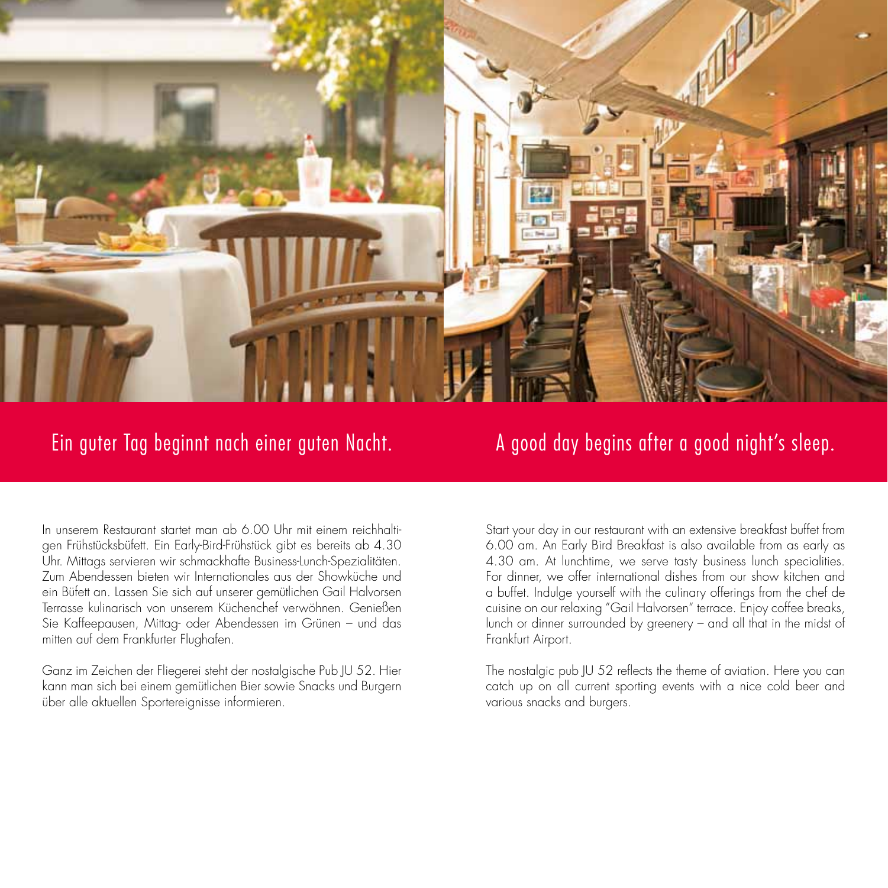

In unserem Restaurant startet man ab 6.00 Uhr mit einem reichhaltigen Frühstücksbüfett. Ein Early-Bird-Frühstück gibt es bereits ab 4.30 Uhr. Mittags servieren wir schmackhafte Business-Lunch-Spezialitäten. Zum Abendessen bieten wir Internationales aus der Showküche und ein Büfett an. Lassen Sie sich auf unserer gemütlichen Gail Halvorsen Terrasse kulinarisch von unserem Küchenchef verwöhnen. Genießen Sie Kaffeepausen, Mittag- oder Abendessen im Grünen – und das mitten auf dem Frankfurter Flughafen.

Ganz im Zeichen der Fliegerei steht der nostalgische Pub JU 52. Hier kann man sich bei einem gemütlichen Bier sowie Snacks und Burgern über alle aktuellen Sportereignisse informieren.

## Ein guter Tag beginnt nach einer guten Nacht. A good day begins after a good night's sleep.

Start your day in our restaurant with an extensive breakfast buffet from 6.00 am. An Early Bird Breakfast is also available from as early as 4.30 am. At lunchtime, we serve tasty business lunch specialities. For dinner, we offer international dishes from our show kitchen and a buffet. Indulge yourself with the culinary offerings from the chef de cuisine on our relaxing "Gail Halvorsen" terrace. Enjoy coffee breaks, lunch or dinner surrounded by greenery – and all that in the midst of Frankfurt Airport.

The nostalgic pub JU 52 reflects the theme of aviation. Here you can catch up on all current sporting events with a nice cold beer and various snacks and burgers.